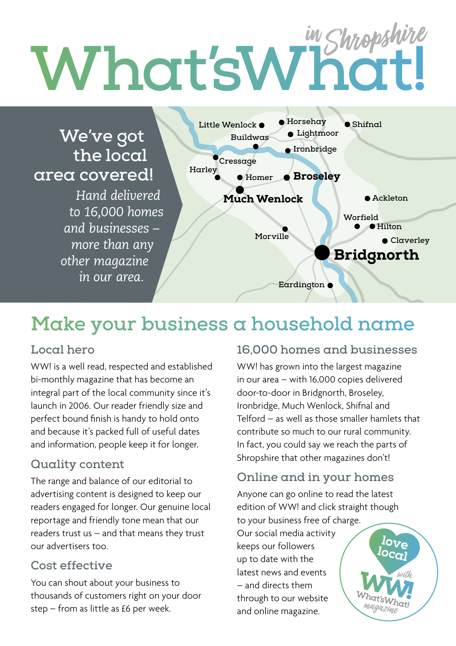# **Telford Shrewsbury**

### **We've got the local area covered!**

*Hand delivered to 16,000 homes and businesses – more than any other magazine in our area.*



## **Make your business a household name**

#### **Local hero**

WW! is a well read, respected and established bi-monthly magazine that has become an integral part of the local community since it's launch in 2006. Our reader friendly size and perfect bound finish is handy to hold onto and because it's packed full of useful dates and information, people keep it for longer.

#### **Quality content**

The range and balance of our editorial to advertising content is designed to keep our readers engaged for longer. Our genuine local reportage and friendly tone mean that our readers trust us – and that means they trust our advertisers too.

#### **Cost effective**

You can shout about your business to thousands of customers right on your door step – from as little as £6 per week.

#### **16,000 homes and businesses**

WW! has grown into the largest magazine in our area – with 16,000 copies delivered door-to-door in Bridgnorth, Broseley, Ironbridge, Much Wenlock, Shifnal and Telford – as well as those smaller hamlets that contribute so much to our rural community. In fact, you could say we reach the parts of Shropshire that other magazines don't!

#### **Online and in your homes**

Anyone can go online to read the latest edition of WW! and click straight though to your business free of charge.

Our social media activity keeps our followers up to date with the latest news and events – and directs them through to our website and online magazine.

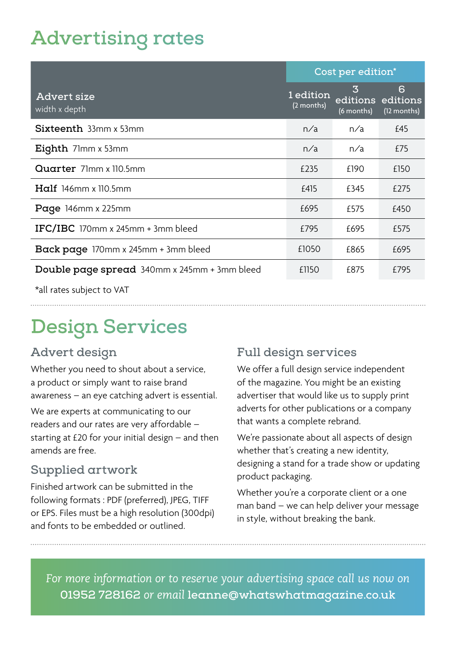## **Advertising rates**

|                                              | Cost per edition*       |                 |                                       |
|----------------------------------------------|-------------------------|-----------------|---------------------------------------|
| Advert size<br>width x depth                 | 1 edition<br>(2 months) | 3<br>(6 months) | 6<br>editions editions<br>(12 months) |
| Sixteenth 33mm x 53mm                        | n/a                     | n/a             | £45                                   |
| <b>Eighth</b> 71mm x 53mm                    | n/a                     | n/a             | £75                                   |
| Quarter 71mm x 110.5mm                       | £235                    | £190            | £150                                  |
| $Half 146mm \times 110.5mm$                  | £415                    | £345            | £275                                  |
| Page $146$ mm x 225mm                        | £695                    | £575            | £450                                  |
| IFC/IBC 170mm x 245mm $+$ 3mm bleed          | £795                    | £695            | £575                                  |
| Back page 170mm x 245mm + 3mm bleed          | £1050                   | £865            | £695                                  |
| Double page spread 340mm x 245mm + 3mm bleed | £1150                   | £875            | £795                                  |

\*all rates subject to VAT

# **Design Services**

#### **Advert design**

Whether you need to shout about a service, a product or simply want to raise brand awareness – an eye catching advert is essential.

We are experts at communicating to our readers and our rates are very affordable – starting at £20 for your initial design – and then amends are free.

#### **Supplied artwork**

Finished artwork can be submitted in the following formats : PDF (preferred), JPEG, TIFF or EPS. Files must be a high resolution (300dpi) and fonts to be embedded or outlined.

#### **Full design services**

We offer a full design service independent of the magazine. You might be an existing advertiser that would like us to supply print adverts for other publications or a company that wants a complete rebrand.

We're passionate about all aspects of design whether that's creating a new identity, designing a stand for a trade show or updating product packaging.

Whether you're a corporate client or a one man band – we can help deliver your message in style, without breaking the bank.

*For more information or to reserve your advertising space call us now on*  **01952 728162** *or email* **leanne@whatswhatmagazine.co.uk**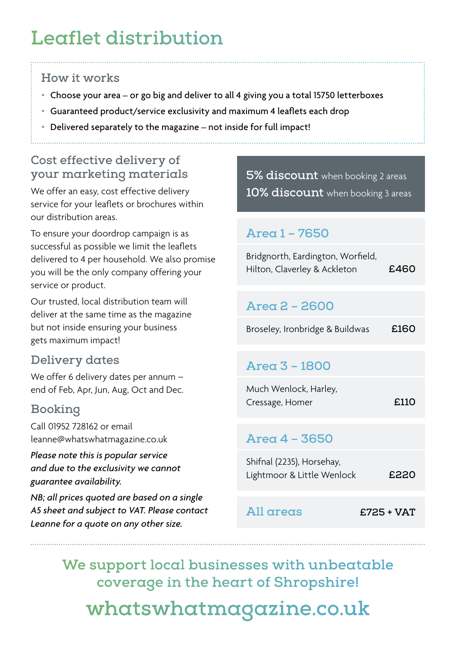# **Leaflet distribution**

#### **How it works**

- **•** Choose your area or go big and deliver to all 4 giving you a total 15750 letterboxes
- **•** Guaranteed product/service exclusivity and maximum 4 leaflets each drop
- **•** Delivered separately to the magazine not inside for full impact!

#### **Cost effective delivery of your marketing materials**

We offer an easy, cost effective delivery service for your leaflets or brochures within our distribution areas.

To ensure your doordrop campaign is as successful as possible we limit the leaflets delivered to 4 per household. We also promise you will be the only company offering your service or product.

Our trusted, local distribution team will deliver at the same time as the magazine but not inside ensuring your business gets maximum impact!

#### **Delivery dates**

We offer 6 delivery dates per annum – end of Feb, Apr, Jun, Aug, Oct and Dec.

#### **Booking**

Call 01952 728162 or email leanne@whatswhatmagazine.co.uk

*Please note this is popular service and due to the exclusivity we cannot guarantee availability.* 

*NB; all prices quoted are based on a single A5 sheet and subject to VAT. Please contact Leanne for a quote on any other size.*

**5% discount** when booking 2 areas **10% discount** when booking 3 areas

#### **Area 1 – 7650**

| Bridgnorth, Eardington, Worfield, |      |
|-----------------------------------|------|
| Hilton, Claverley & Ackleton      | £460 |

#### **Area 2 – 2600**

| Broseley, Ironbridge & Buildwas | £160 |
|---------------------------------|------|
|---------------------------------|------|

#### **Area 3 – 1800**

| Much Wenlock, Harley, |      |
|-----------------------|------|
| Cressage, Homer       | £110 |

#### **Area 4 – 3650**

Shifnal (2235), Horsehay, Lightmoor & Little Wenlock **£220**

#### **All areas £725 + VAT**

**We support local businesses with unbeatable coverage in the heart of Shropshire! [whatswhatmagazine.co.uk](http://whatswhatmagazine.co.uk)**